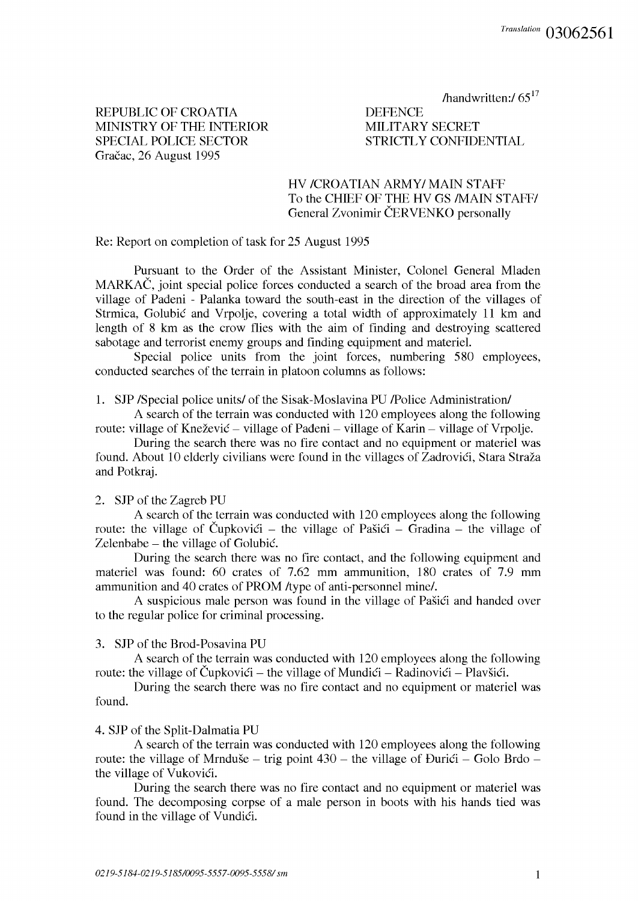/handwritten:/ $65^{17}$ 

REPUBLIC OF CROATIA MINISTRY OF THE INTERIOR SPECIAL POLICE SECTOR Gračac, 26 August 1995

**DEFENCE** MILITARY SECRET STRICTLY CONFIDENTIAL

# HV /CROATIAN ARMY/MAIN STAFF To the CHIEF OF THE HV GS /MAIN STAFF/ General Zvonimir ČERVENKO personally

Re: Report on completion of task for 25 August 1995

Pursuant to the Order of the Assistant Minister, Colonel General Mladen MARKAC, joint special police forces conducted a search of the broad area from the village of Padeni - Palanka toward the south-east in the direction of the villages of Strmica, Golubic and Vrpolje, covering a total width of approximately 11 km and length of 8 km as the crow flies with the aim of finding and destroying scattered sabotage and terrorist enemy groups and finding equipment and materiel.

Special police units from the joint forces, numbering 580 employees, conducted searches of the terrain in platoon columns as follows:

1. SJP /Special police units/ of the Sisak-Moslavina PU /Police Administration/

A search of the terrain was conducted with 120 employees along the following route: village of Knežević – village of Pađeni – village of Karin – village of Vrpolje.

During the search there was no fire contact and no equipment or materiel was found. About 10 elderly civilians were found in the villages of Zadrovići, Stara Straža and Potkraj.

## 2. SJP of the Zagreb PU

A search of the terrain was conducted with 120 employees along the following route: the village of Čupkovići – the village of Pašići – Gradina – the village of Zelenbabe – the village of Golubić.

During the search there was no fire contact, and the following equipment and materiel was found: 60 crates of 7.62 mm ammunition, 180 crates of 7.9 mm ammunition and 40 crates of PROM /type of anti-personnel mine/.

A suspicious male person was found in the village of Pašići and handed over to the regular police for criminal processing.

3. SJP of the Brod-Posavina PU

A search of the terrain was conducted with 120 employees along the following route: the village of Čupkovići – the village of Mundići – Radinovići – Plavšići.

During the search there was no fire contact and no equipment or materiel was found.

## 4. SJP of the Split-Dalmatia PU

A search of the terrain was conducted with 120 employees along the following route: the village of Mrnduše – trig point  $430$  – the village of Durici – Golo Brdo – the village of Vukovići.

During the search there was no fire contact and no equipment or materiel was found. The decomposing corpse of a male person in boots with his hands tied was found in the village of Vundici.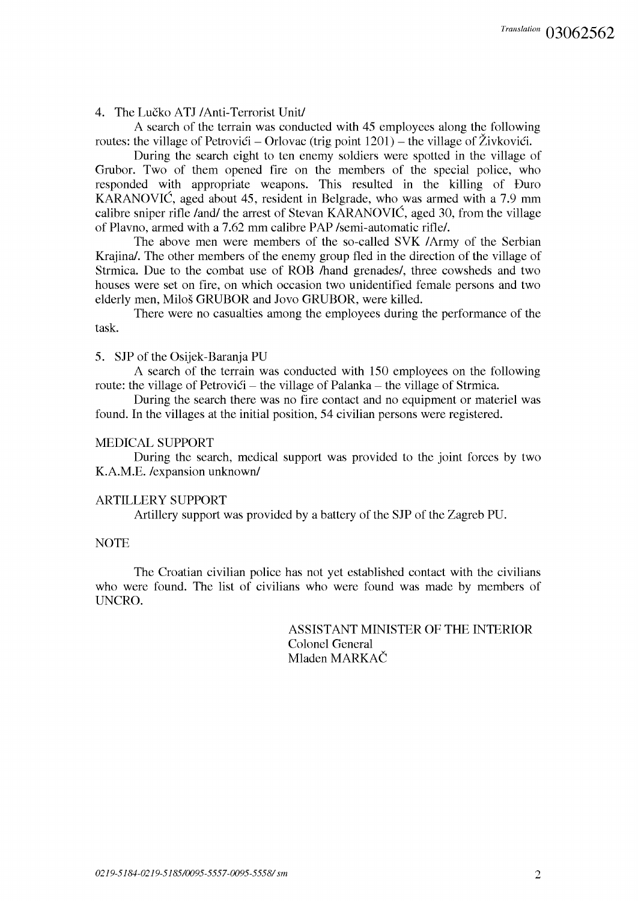4. The Lucko ATJ /Anti-Terrorist Unit/

A search of the terrain was conducted with 45 employees along the following routes: the village of Petrovici – Orlovac (trig point  $1201$ ) – the village of Živkovici.

During the search eight to ten enemy soldiers were spotted in the village of Grubor. Two of them opened fire on the members of the special police, who responded with appropriate weapons. This resulted in the killing of Duro KARANOVIC, aged about 45, resident in Belgrade, who was armed with a 7.9 mm calibre sniper rifle /and/ the arrest of Stevan KARANOVIC, aged 30, from the village of Plavno, armed with a 7.62 mm calibre PAP /semi-automatic rifle/.

The above men were members of the so-called SVK /Army of the Serbian Krajina/. The other members of the enemy group fled in the direction of the village of Strmica. Due to the combat use of ROB /hand grenades/, three cowsheds and two houses were set on fire, on which occasion two unidentified female persons and two elderly men, Milos GRUBOR and Jovo GRUBOR, were killed.

There were no casualties among the employees during the performance of the task.

5. SJP of the Osijek-Baranja PU

A search of the terrain was conducted with 150 employees on the following route: the village of Petrovici – the village of Palanka – the village of Strmica.

During the search there was no fire contact and no equipment or materiel was found. In the villages at the initial position, 54 civilian persons were registered.

#### MEDICAL SUPPORT

During the search, medical support was provided to the joint forces by two K.A.M.E. /expansion unknown/

### ARTILLERY SUPPORT

Artillery support was provided by a battery of the SJP of the Zagreb PU.

## NOTE

The Croatian civilian police has not yet established contact with the civilians who were found. The list of civilians who were found was made by members of UNCRO.

> ASSISTANT MINISTER OF THE INTERIOR Colonel General Mladen MARKAC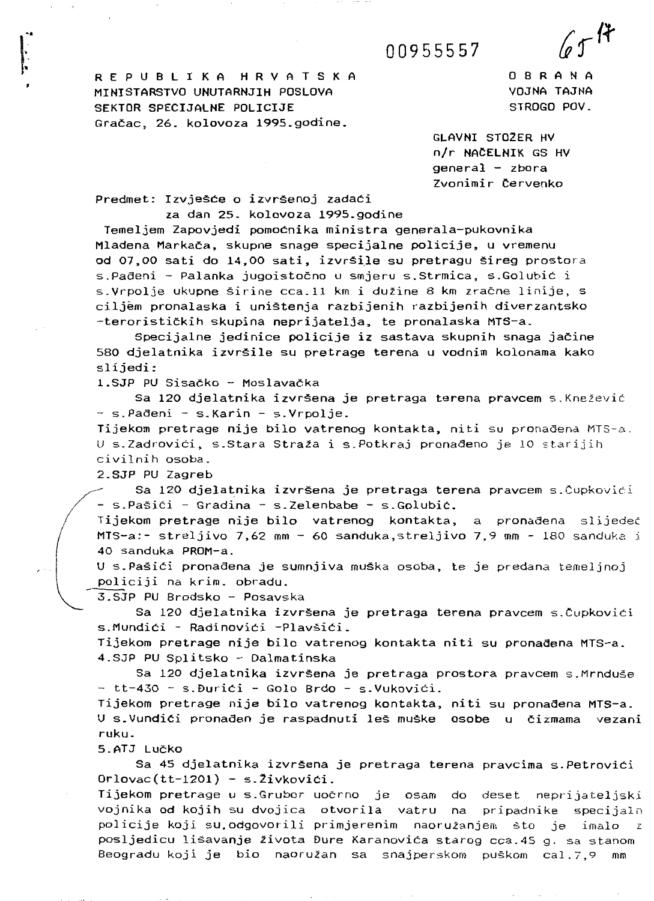00955557

R E P U B L I K A H R V A T S K A MINISTARSTVO UNUTARNJIH POSLOVA SEKTOR SPECIJALNE POLICIJE Gracac, 26. kolovoza 1995.godine.

0 8 R A N A VOJNA TAJNA STROGO POV.

 $65$ H

GLAVNI ST02ER HV n/r NACELNIK GS HV  $general - zbora$ Zvonimir Cervenka

Predmet: Izvješće o izvršenoj zadaći za dan 25. kolovoza 1995.godine

Temeljem Zapovjedi pomocnika ministra generala-pukovnika Mladena Markaca, skupne snage specijalne policije, u vremenu od 07,00 sati do 14,00 sati, izvrsile su pretragu sireg prostora s.Padeni - Palanka jugoistoeno u smjeru s.Strmica, s.Golubic <sup>i</sup> s.Vrpolje ukupne širine cca.11 km i dužine 8 km zračne linije, s ciljem pronalaska i unistenja razbijenih razbijenih diverzantsko -teroristickih skupina neprijatelja, te pronalaska MTS-a.

Specijalne jedinice policije iz sastava skupnih snaga jačine 580 djelatnika izvrsile su pretrage terena u vodnim kolonama kako slijedi:

1.SJP PU Sisačko - Moslavačka

Sa 120 djelatnika izvršena je pretraga terena pravcem s.Knežević - s.Pađeni - s.Karin - s.Vrpolje.

Tijekom pretrage nije bilo vatrenog kontakta, niti su pronađena MTS-a. U s.Zadrovići, s.Stara Straža i s.Potkraj pronađeno je 10 starijih civilnih osoba.

2.SJP PU Zagreb

Sa 120 djelatnika izvršena je pretraga terena pravcem s.Čupkovići - s.Pasici - Gradina - s.Zelenbabe - s.Golubic.

Tijekom pretrage nije bilo vatrenog kontakta, a pronađena slijedeć MTS-a:- streljivo 7,62 mm - 60 sanduka,streljivo 7,9 mm - 180 sanduka <sup>i</sup> 40 sanduka PROM-a.

U s.Pasici pronadena je sumnjiva muska osoba, te je predana temeljnoj policiji na krim. obradu.

3.SJP PU Brodsko - Posavska

Sa 120 djelatnika izvrsena je pretraga terena pravcem s.Cupkovici s.Mundici - Radinovici -Plavsici.

Tijekom pretrage nije bilo vatrenog kontakta niti su pronađena MTS-a. 4.SJP PU Splitsko - Dalmatinska

Sa 120 djelatnika izvrsena je pretraga prostora pravcem s.Mrnduse - tt-430 - s.Durici - Gola Brdo - s.Vukovici.

Tijekom pretrage nije bilo vatrenog kontakta, niti su pronađena MTS-a. U s.Vundici pronaaen je raspadnuti les muske osobe u cizmama vezani ruku.

5.ATJ Lucko

Sa 45 djelatnika izvrsena je pretraga terena pravcima s.Petrovici Orlovac(tt-1201) - s.2ivkovici.

Tijekom pretrage u s.Grubor uočrno je osam do deset neprijateljski vojnika od kojih su dvojica otvorila vatru na pripadnike specijaln policije koji su, odgovorili primjerenim naoružanjem što je imalo posljedicu lišavanje života Đure Karanovića starog cca.45 g. sa stanom Beogradu koji je bio naoružan sa snajperskom puškom cal.7,9 mm